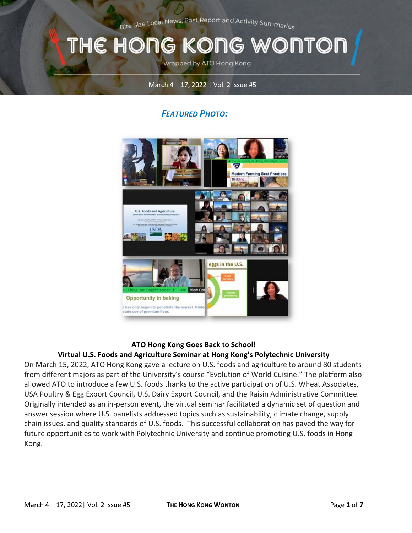Bite Size Local News, Post Report and Activity Summaries

# THE HONG KONG WONTOI

wrapped by ATO Hong Kong

#### March 4 – 17, 2022 | Vol. 2 Issue #5

## *FEATURED PHOTO:*



#### **ATO Hong Kong Goes Back to School!**

#### **Virtual U.S. Foods and Agriculture Seminar at Hong Kong's Polytechnic University**

On March 15, 2022, ATO Hong Kong gave a lecture on U.S. foods and agriculture to around 80 students from different majors as part of the University's course "Evolution of World Cuisine." The platform also allowed ATO to introduce a few U.S. foods thanks to the active participation of U.S. Wheat Associates, USA Poultry & Egg Export Council, U.S. Dairy Export Council, and the Raisin Administrative Committee. Originally intended as an in-person event, the virtual seminar facilitated a dynamic set of question and answer session where U.S. panelists addressed topics such as sustainability, climate change, supply chain issues, and quality standards of U.S. foods. This successful collaboration has paved the way for future opportunities to work with Polytechnic University and continue promoting U.S. foods in Hong Kong.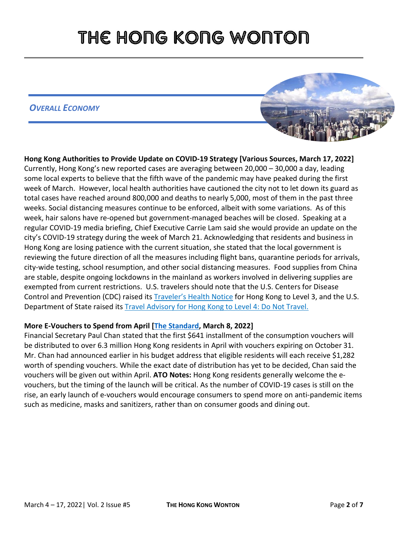## *OVERALL ECONOMY*



**Hong Kong Authorities to Provide Update on COVID-19 Strategy [Various Sources, March 17, 2022]**  Currently, Hong Kong's new reported cases are averaging between 20,000 – 30,000 a day, leading some local experts to believe that the fifth wave of the pandemic may have peaked during the first week of March. However, local health authorities have cautioned the city not to let down its guard as total cases have reached around 800,000 and deaths to nearly 5,000, most of them in the past three weeks. Social distancing measures continue to be enforced, albeit with some variations. As of this week, hair salons have re-opened but government-managed beaches will be closed. Speaking at a regular COVID-19 media briefing, Chief Executive Carrie Lam said she would provide an update on the city's COVID-19 strategy during the week of March 21. Acknowledging that residents and business in Hong Kong are losing patience with the current situation, she stated that the local government is reviewing the future direction of all the measures including flight bans, quarantine periods for arrivals, city-wide testing, school resumption, and other social distancing measures. Food supplies from China are stable, despite ongoing lockdowns in the mainland as workers involved in delivering supplies are exempted from current restrictions. U.S. travelers should note that the U.S. Centers for Disease Control and Prevention (CDC) raised its [Traveler's Health Notice](https://wwwnc.cdc.gov/travel/notices/covid-3/coronavirus-hong-kong) for Hong Kong to Level 3, and the U.S. Department of State raised its **[Travel Advisory for Hong Kong to Level 4: Do Not Travel.](https://travel.state.gov/content/travel/en/international-travel/International-Travel-Country-Information-Pages/HongKong.html)** 

### **More E-Vouchers to Spend from April [\[The Standard,](https://www.thestandard.com.hk/section-news/section/11/239575/Hiccup-free-distribution-of-vouchers-in-the-works) March 8, 2022]**

Financial Secretary Paul Chan stated that the first \$641 installment of the consumption vouchers will be distributed to over 6.3 million Hong Kong residents in April with vouchers expiring on October 31. Mr. Chan had announced earlier in his budget address that eligible residents will each receive \$1,282 worth of spending vouchers. While the exact date of distribution has yet to be decided, Chan said the vouchers will be given out within April. **ATO Notes:** Hong Kong residents generally welcome the evouchers, but the timing of the launch will be critical. As the number of COVID-19 cases is still on the rise, an early launch of e-vouchers would encourage consumers to spend more on anti-pandemic items such as medicine, masks and sanitizers, rather than on consumer goods and dining out.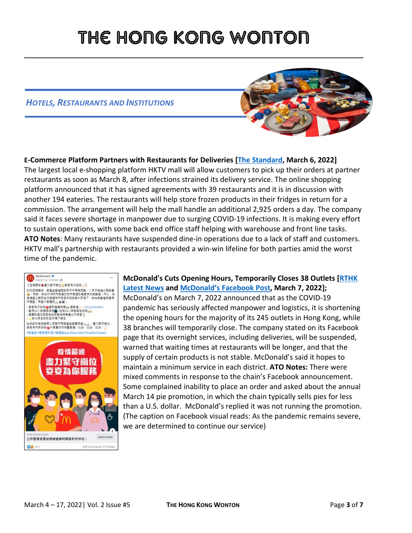### *HOTELS, RESTAURANTS AND INSTITUTIONS*



**E-Commerce Platform Partners with Restaurants for Deliveries [\[The Standard,](https://www.thestandard.com.hk/breaking-news/section/4/187821/HKTV-mall-to-launch-pick-up-service-at-partner-restaurants) March 6, 2022]** The largest local e-shopping platform HKTV mall will allow customers to pick up their orders at partner restaurants as soon as March 8, after infections strained its delivery service. The online shopping platform announced that it has signed agreements with 39 restaurants and it is in discussion with another 194 eateries. The restaurants will help store frozen products in their fridges in return for a commission. The arrangement will help the mall handle an additional 2,925 orders a day. The company said it faces severe shortage in manpower due to surging COVID-19 infections. It is making every effort to sustain operations, with some back end office staff helping with warehouse and front line tasks. **ATO Notes**: Many restaurants have suspended dine-in operations due to a lack of staff and customers. HKTV mall's partnership with restaurants provided a win-win lifeline for both parties amid the worst time of the pandemic.



### **McDonald's Cuts Opening Hours, Temporarily Closes 38 Outlets [\[RTHK](https://news.rthk.hk/rthk/en/component/k2/1637620-20220307.htm) [Latest](https://news.rthk.hk/rthk/en/component/k2/1637620-20220307.htm) News and [McDonald's](https://www.facebook.com/280754965446639/posts/1856036647918455/) Facebook Post, March 7, 2022];** McDonald's on March 7, 2022 announced that as the COVID-19 pandemic has seriously affected manpower and logistics, it is shortening the opening hours for the majority of its 245 outlets in Hong Kong, while 38 branches will temporarily close. The company stated on its Facebook page that its overnight services, including deliveries, will be suspended, warned that waiting times at restaurants will be longer, and that the supply of certain products is not stable. McDonald's said it hopes to maintain a minimum service in each district. **ATO Notes:** There were mixed comments in response to the chain's Facebook announcement. Some complained inability to place an order and asked about the annual March 14 pie promotion, in which the chain typically sells pies for less than a U.S. dollar. McDonald's replied it was not running the promotion. (The caption on Facebook visual reads: As the pandemic remains severe, we are determined to continue our service)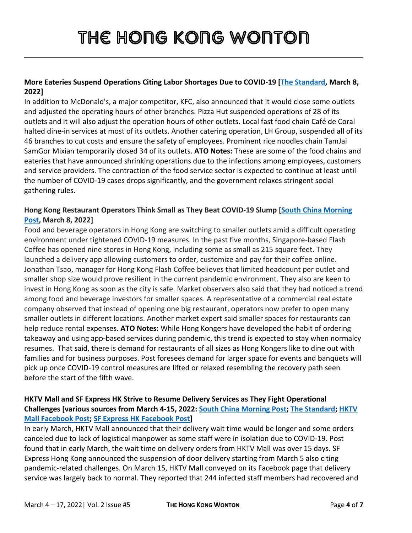### **More Eateries Suspend Operations Citing Labor Shortages Due to COVID-19 [\[The Standard,](https://www.thestandard.com.hk/section-news/section/11/239577/Short-on-staff,-38-McDonald) March 8, 2022]**

In addition to McDonald's, a major competitor, KFC, also announced that it would close some outlets and adjusted the operating hours of other branches. Pizza Hut suspended operations of 28 of its outlets and it will also adjust the operation hours of other outlets. Local fast food chain Café de Coral halted dine-in services at most of its outlets. Another catering operation, LH Group, suspended all of its 46 branches to cut costs and ensure the safety of employees. Prominent rice noodles chain TamJai SamGor Mixian temporarily closed 34 of its outlets. **ATO Notes:** These are some of the food chains and eateries that have announced shrinking operations due to the infections among employees, customers and service providers. The contraction of the food service sector is expected to continue at least until the number of COVID-19 cases drops significantly, and the government relaxes stringent social gathering rules.

### **Hong Kong Restaurant Operators Think Small as They Beat COVID-19 Slump [\[South China Morning](https://www.scmp.com/business/article/3169572/hong-kong-restaurant-operators-think-small-they-downsize-operations-beat)  [Post,](https://www.scmp.com/business/article/3169572/hong-kong-restaurant-operators-think-small-they-downsize-operations-beat) March 8, 2022]**

Food and beverage operators in Hong Kong are switching to smaller outlets amid a difficult operating environment under tightened COVID-19 measures. In the past five months, Singapore-based Flash Coffee has opened nine stores in Hong Kong, including some as small as 215 square feet. They launched a delivery app allowing customers to order, customize and pay for their coffee online. Jonathan Tsao, manager for Hong Kong Flash Coffee believes that limited headcount per outlet and smaller shop size would prove resilient in the current pandemic environment. They also are keen to invest in Hong Kong as soon as the city is safe. Market observers also said that they had noticed a trend among food and beverage investors for smaller spaces. A representative of a commercial real estate company observed that instead of opening one big restaurant, operators now prefer to open many smaller outlets in different locations. Another market expert said smaller spaces for restaurants can help reduce rental expenses. **ATO Notes:** While Hong Kongers have developed the habit of ordering takeaway and using app-based services during pandemic, this trend is expected to stay when normalcy resumes. That said, there is demand for restaurants of all sizes as Hong Kongers like to dine out with families and for business purposes. Post foresees demand for larger space for events and banquets will pick up once COVID-19 control measures are lifted or relaxed resembling the recovery path seen before the start of the fifth wave.

### **HKTV Mall and SF Express HK Strive to Resume Delivery Services as They Fight Operational Challenges [various sources from March 4-15, 2022: [South China Morning Post;](https://www.scmp.com/news/hong-kong/hong-kong-economy/article/3169297/coronavirus-hong-kong-delivery-workers-short) [The Standard;](https://www.thestandard.com.hk/breaking-news/section/4/188137/Courier-service-SF-Express-resumes-to-door-services-in-industrials-and-commercial-areas) [HKTV](https://www.facebook.com/297742713664957/posts/4720027768103074/)  [Mall Facebook Post;](https://www.facebook.com/297742713664957/posts/4720027768103074/) SF Express HK [Facebook Post\]](https://www.facebook.com/1452573198380342/posts/2896573427313638/)**

In early March, HKTV Mall announced that their delivery wait time would be longer and some orders canceled due to lack of logistical manpower as some staff were in isolation due to COVID-19. Post found that in early March, the wait time on delivery orders from HKTV Mall was over 15 days. SF Express Hong Kong announced the suspension of door delivery starting from March 5 also citing pandemic-related challenges. On March 15, HKTV Mall conveyed on its Facebook page that delivery service was largely back to normal. They reported that 244 infected staff members had recovered and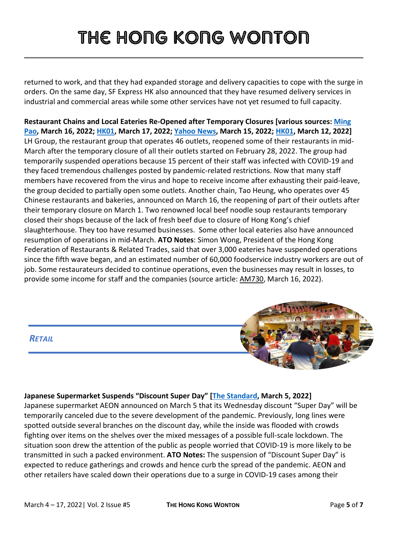returned to work, and that they had expanded storage and delivery capacities to cope with the surge in orders. On the same day, SF Express HK also announced that they have resumed delivery services in industrial and commercial areas while some other services have not yet resumed to full capacity.

**Restaurant Chains and Local Eateries Re-Opened after Temporary Closures [various sources: [Ming](https://news.mingpao.com/pns/%E8%A6%81%E8%81%9E/article/20220316/s00001/1647367204755/%E9%80%A3%E9%8E%96%E9%A3%9F%E8%82%86%E7%B4%9B%E5%BE%A9%E6%A5%AD-%E9%BB%83%E5%82%91%E9%BE%8D-%E4%BB%A5%E5%81%9C%E6%A5%AD%E6%B8%9B%E4%BA%BA%E6%B5%81%E4%B8%8D%E5%90%88%E7%90%86)  [Pao,](https://news.mingpao.com/pns/%E8%A6%81%E8%81%9E/article/20220316/s00001/1647367204755/%E9%80%A3%E9%8E%96%E9%A3%9F%E8%82%86%E7%B4%9B%E5%BE%A9%E6%A5%AD-%E9%BB%83%E5%82%91%E9%BE%8D-%E4%BB%A5%E5%81%9C%E6%A5%AD%E6%B8%9B%E4%BA%BA%E6%B5%81%E4%B8%8D%E5%90%88%E7%90%86) March 16, 2022[; HK01,](https://www.hk01.com/%E9%A3%9F%E7%8E%A9%E8%B2%B7/746598/%E9%A4%90%E5%BB%B3%E9%87%8D%E9%96%8B-10%E5%A4%A7%E5%81%9C%E6%A5%AD%E9%A3%9F%E8%82%86%E9%87%8D%E9%96%8B%E6%97%A5%E6%9C%9F-%E7%87%9F%E6%A5%AD%E6%99%82%E9%96%93-%E7%89%9B%E8%A7%92-%E5%A4%A7%E5%AE%B6%E9%A3%9F-%E9%85%92%E6%A8%93) March 17, 2022; [Yahoo News,](https://hk.news.yahoo.com/%E5%85%AB%E5%AF%B6%E6%B8%85%E6%B9%AF%E8%85%A9-%E5%A4%A9%E5%90%8E-%E5%AE%B6%E7%94%A8%E8%A3%9D-%E7%B1%B3%E8%8A%9D%E8%93%AE-223026026.html) March 15, 2022; [HK01,](https://www.hk01.com/%E9%A3%9F%E7%8E%A9%E8%B2%B7/745693/%E4%B8%AD%E7%92%B060%E5%B9%B4%E7%89%9B%E9%9B%9C%E8%80%81%E5%AD%97%E8%99%9F%E9%87%8D%E9%96%8B-%E6%9C%AC%E5%9C%B0%E6%B4%BB%E7%89%9B%E6%81%A2%E5%BE%A9%E4%BE%9B%E6%87%89-%E5%BF%85%E8%A9%A6%E7%89%9B%E6%B2%99%E7%93%9C-%E7%89%9B%E7%88%BD%E8%85%A9) March 12, 2022]** LH Group, the restaurant group that operates 46 outlets, reopened some of their restaurants in mid-March after the temporary closure of all their outlets started on February 28, 2022. The group had temporarily suspended operations because 15 percent of their staff was infected with COVID-19 and they faced tremendous challenges posted by pandemic-related restrictions. Now that many staff members have recovered from the virus and hope to receive income after exhausting their paid-leave, the group decided to partially open some outlets. Another chain, Tao Heung, who operates over 45 Chinese restaurants and bakeries, announced on March 16, the reopening of part of their outlets after their temporary closure on March 1. Two renowned local beef noodle soup restaurants temporary closed their shops because of the lack of fresh beef due to closure of Hong Kong's chief slaughterhouse. They too have resumed businesses. Some other local eateries also have announced resumption of operations in mid-March. **ATO Notes**: Simon Wong, President of the Hong Kong Federation of Restaurants & Related Trades, said that over 3,000 eateries have suspended operations since the fifth wave began, and an estimated number of 60,000 foodservice industry workers are out of job. Some restaurateurs decided to continue operations, even the businesses may result in losses, to provide some income for staff and the companies (source article: [AM730,](https://www.am730.com.hk/%E6%9C%AC%E5%9C%B0/%E7%96%AB%E6%83%85-%E9%80%BE3000%E9%A3%9F%E8%82%86%E5%81%9C%E6%A5%AD-%E9%A3%B2%E9%A3%9F%E6%A5%AD-%E5%B8%B6%E5%8B%95%E5%85%B6%E4%BB%96%E9%A4%90%E5%BB%B3%E5%A0%82%E9%A3%9F%E4%BA%BA%E6%B5%81/311429) March 16, 2022).



#### **Japanese Supermarket Suspends "Discount Super Day" [\[The Standard,](https://www.thestandard.com.hk/breaking-news/section/4/187804/AEON-temporarily-cancels-Wednesday-discount-) March 5, 2022]**

Japanese supermarket AEON announced on March 5 that its Wednesday discount "Super Day" will be temporarily canceled due to the severe development of the pandemic. Previously, long lines were spotted outside several branches on the discount day, while the inside was flooded with crowds fighting over items on the shelves over the mixed messages of a possible full-scale lockdown. The situation soon drew the attention of the public as people worried that COVID-19 is more likely to be transmitted in such a packed environment. **ATO Notes:** The suspension of "Discount Super Day" is expected to reduce gatherings and crowds and hence curb the spread of the pandemic. AEON and other retailers have scaled down their operations due to a surge in COVID-19 cases among their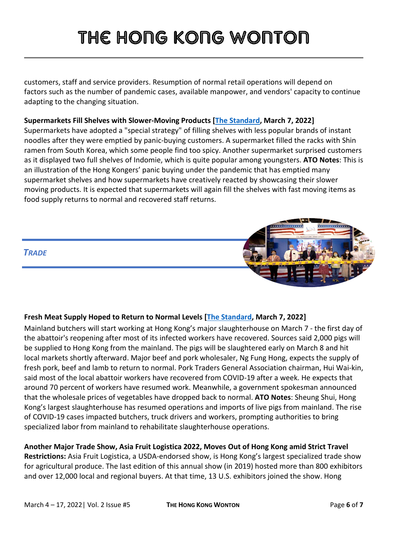customers, staff and service providers. Resumption of normal retail operations will depend on factors such as the number of pandemic cases, available manpower, and vendors' capacity to continue adapting to the changing situation.

#### **Supermarkets Fill Shelves with Slower-Moving Products [\[The Standard,](https://www.thestandard.com.hk/section-news/section/21/239511/Stores-use-their-noodles-to-fill-shelves) March 7, 2022]**

Supermarkets have adopted a "special strategy" of filling shelves with less popular brands of instant noodles after they were emptied by panic-buying customers. A supermarket filled the racks with Shin ramen from South Korea, which some people find too spicy. Another supermarket surprised customers as it displayed two full shelves of Indomie, which is quite popular among youngsters. **ATO Notes**: This is an illustration of the Hong Kongers' panic buying under the pandemic that has emptied many supermarket shelves and how supermarkets have creatively reacted by showcasing their slower moving products. It is expected that supermarkets will again fill the shelves with fast moving items as food supply returns to normal and recovered staff returns.



#### **Fresh Meat Supply Hoped to Return to Normal Levels [\[The Standard,](https://www.thestandard.com.hk/section-news/section/4/239525/Mainland-butchers,-Covid-recoveries-put-meat-in-hopes-for-return-to-normal) March 7, 2022]**

Mainland butchers will start working at Hong Kong's major slaughterhouse on March 7 - the first day of the abattoir's reopening after most of its infected workers have recovered. Sources said 2,000 pigs will be supplied to Hong Kong from the mainland. The pigs will be slaughtered early on March 8 and hit local markets shortly afterward. Major beef and pork wholesaler, Ng Fung Hong, expects the supply of fresh pork, beef and lamb to return to normal. Pork Traders General Association chairman, Hui Wai-kin, said most of the local abattoir workers have recovered from COVID-19 after a week. He expects that around 70 percent of workers have resumed work. Meanwhile, a government spokesman announced that the wholesale prices of vegetables have dropped back to normal. **ATO Notes**: Sheung Shui, Hong Kong's largest slaughterhouse has resumed operations and imports of live pigs from mainland. The rise of COVID-19 cases impacted butchers, truck drivers and workers, prompting authorities to bring specialized labor from mainland to rehabilitate slaughterhouse operations.

### **Another Major Trade Show, Asia Fruit Logistica 2022, Moves Out of Hong Kong amid Strict Travel**

**Restrictions:** Asia Fruit Logistica, a USDA-endorsed show, is Hong Kong's largest specialized trade show for agricultural produce. The last edition of this annual show (in 2019) hosted more than 800 exhibitors and over 12,000 local and regional buyers. At that time, 13 U.S. exhibitors joined the show. Hong